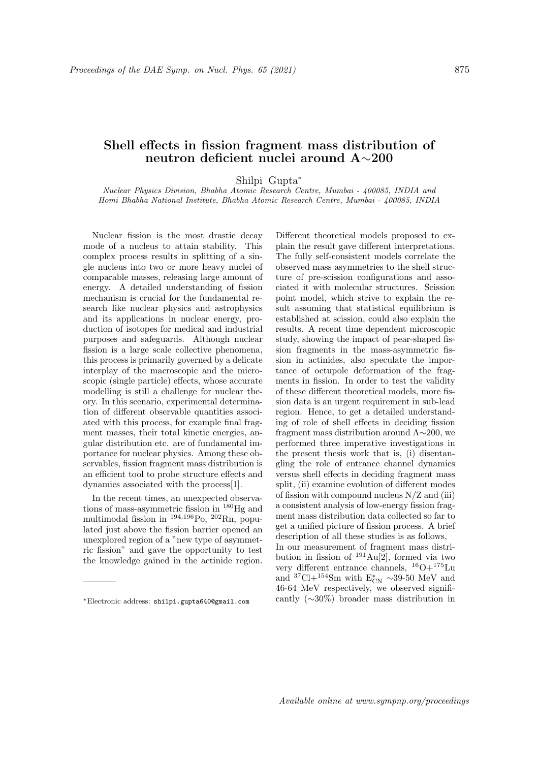## Shell effects in fission fragment mass distribution of neutron deficient nuclei around A∼200

Shilpi Gupta<sup>∗</sup>

Nuclear Physics Division, Bhabha Atomic Research Centre, Mumbai - 400085, INDIA and Homi Bhabha National Institute, Bhabha Atomic Research Centre, Mumbai - 400085, INDIA

Nuclear fission is the most drastic decay mode of a nucleus to attain stability. This complex process results in splitting of a single nucleus into two or more heavy nuclei of comparable masses, releasing large amount of energy. A detailed understanding of fission mechanism is crucial for the fundamental research like nuclear physics and astrophysics and its applications in nuclear energy, production of isotopes for medical and industrial purposes and safeguards. Although nuclear fission is a large scale collective phenomena, this process is primarily governed by a delicate interplay of the macroscopic and the microscopic (single particle) effects, whose accurate modelling is still a challenge for nuclear theory. In this scenario, experimental determination of different observable quantities associated with this process, for example final fragment masses, their total kinetic energies, angular distribution etc. are of fundamental importance for nuclear physics. Among these observables, fission fragment mass distribution is an efficient tool to probe structure effects and dynamics associated with the process[1].

In the recent times, an unexpected observations of mass-asymmetric fission in <sup>180</sup>Hg and multimodal fission in  $^{194,196}$ Po,  $^{202}$ Rn, populated just above the fission barrier opened an unexplored region of a "new type of asymmetric fission" and gave the opportunity to test the knowledge gained in the actinide region. Different theoretical models proposed to explain the result gave different interpretations. The fully self-consistent models correlate the observed mass asymmetries to the shell structure of pre-scission configurations and associated it with molecular structures. Scission point model, which strive to explain the result assuming that statistical equilibrium is established at scission, could also explain the results. A recent time dependent microscopic study, showing the impact of pear-shaped fission fragments in the mass-asymmetric fission in actinides, also speculate the importance of octupole deformation of the fragments in fission. In order to test the validity of these different theoretical models, more fission data is an urgent requirement in sub-lead region. Hence, to get a detailed understanding of role of shell effects in deciding fission fragment mass distribution around A∼200, we performed three imperative investigations in the present thesis work that is, (i) disentangling the role of entrance channel dynamics versus shell effects in deciding fragment mass split, (ii) examine evolution of different modes of fission with compound nucleus N/Z and (iii) a consistent analysis of low-energy fission fragment mass distribution data collected so far to get a unified picture of fission process. A brief description of all these studies is as follows,

In our measurement of fragment mass distribution in fission of  $191\,\text{Au}[2]$ , formed via two very different entrance channels,  $^{16}O+^{175}Lu$ and <sup>37</sup>Cl+<sup>154</sup>Sm with  $E_{CN}^* \sim 39{\text -}50$  MeV and 46-64 MeV respectively, we observed significantly (∼30%) broader mass distribution in

<sup>∗</sup>Electronic address: shilpi.gupta640@gmail.com